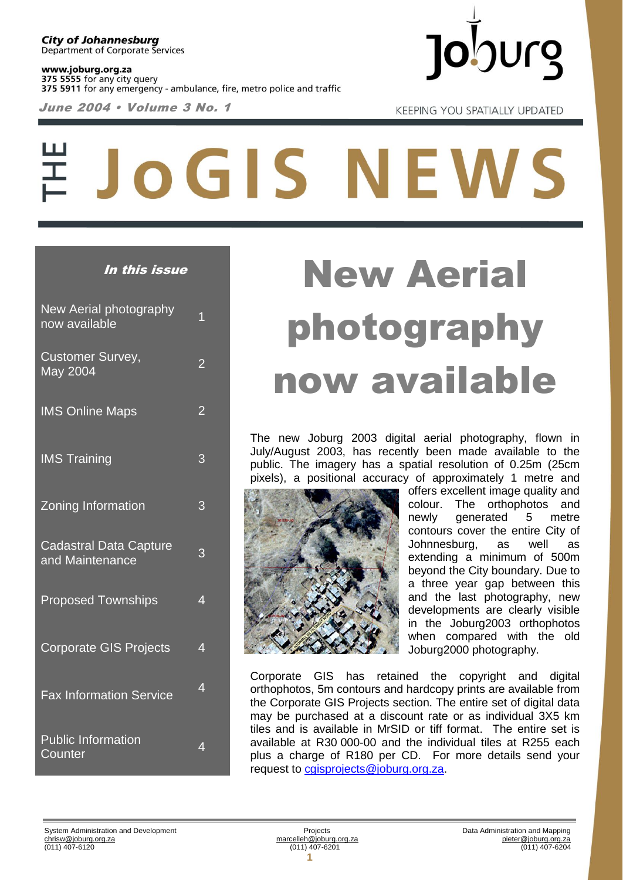www.joburg.org.za 375 5555 for any city query 375 5911 for any emergency - ambulance, fire, metro police and traffic

June 2004 • Volume 3 No. 1



**KEEPING YOU SPATIALLY UPDATED** 

# JoGIS NEWS

| New Aerial photography<br>now available          | $\overline{1}$ |
|--------------------------------------------------|----------------|
| <b>Customer Survey,</b><br>May 2004              | $\overline{2}$ |
| <b>IMS Online Maps</b>                           | $\overline{2}$ |
| <b>IMS Training</b>                              | 3              |
| <b>Zoning Information</b>                        | 3              |
| <b>Cadastral Data Capture</b><br>and Maintenance | 3              |
| <b>Proposed Townships</b>                        | 4              |
| <b>Corporate GIS Projects</b>                    | 4              |
| <b>Fax Information Service</b>                   | $\overline{4}$ |
| <b>Public Information</b><br>Counter             | 4              |

## In this issue New Aerial photography now available

The new Joburg 2003 digital aerial photography, flown in July/August 2003, has recently been made available to the public. The imagery has a spatial resolution of 0.25m (25cm pixels), a positional accuracy of approximately 1 metre and



offers excellent image quality and colour. The orthophotos and newly generated 5 metre contours cover the entire City of Johnnesburg, as well as extending a minimum of 500m beyond the City boundary. Due to a three year gap between this and the last photography, new developments are clearly visible in the Joburg2003 orthophotos when compared with the old Joburg2000 photography.

Corporate GIS has retained the copyright and digital orthophotos, 5m contours and hardcopy prints are available from the Corporate GIS Projects section. The entire set of digital data may be purchased at a discount rate or as individual 3X5 km tiles and is available in MrSID or tiff format. The entire set is available at R30 000-00 and the individual tiles at R255 each plus a charge of R180 per CD. For more details send your request to [cgisprojects@joburg.org.za.](mailto:cgisprojects@joburg.org.za)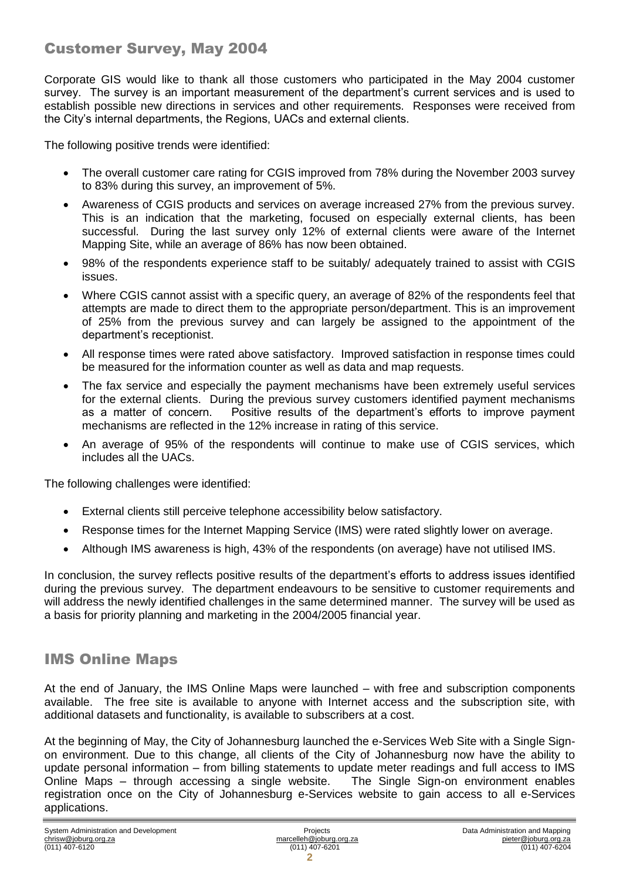### Customer Survey, May 2004

Corporate GIS would like to thank all those customers who participated in the May 2004 customer survey. The survey is an important measurement of the department's current services and is used to establish possible new directions in services and other requirements. Responses were received from the City's internal departments, the Regions, UACs and external clients.

The following positive trends were identified:

- The overall customer care rating for CGIS improved from 78% during the November 2003 survey to 83% during this survey, an improvement of 5%.
- Awareness of CGIS products and services on average increased 27% from the previous survey. This is an indication that the marketing, focused on especially external clients, has been successful. During the last survey only 12% of external clients were aware of the Internet Mapping Site, while an average of 86% has now been obtained.
- 98% of the respondents experience staff to be suitably/ adequately trained to assist with CGIS issues.
- Where CGIS cannot assist with a specific query, an average of 82% of the respondents feel that attempts are made to direct them to the appropriate person/department. This is an improvement of 25% from the previous survey and can largely be assigned to the appointment of the department's receptionist.
- All response times were rated above satisfactory. Improved satisfaction in response times could be measured for the information counter as well as data and map requests.
- The fax service and especially the payment mechanisms have been extremely useful services for the external clients. During the previous survey customers identified payment mechanisms as a matter of concern. Positive results of the department's efforts to improve payment mechanisms are reflected in the 12% increase in rating of this service.
- An average of 95% of the respondents will continue to make use of CGIS services, which includes all the UACs.

The following challenges were identified:

- External clients still perceive telephone accessibility below satisfactory.
- Response times for the Internet Mapping Service (IMS) were rated slightly lower on average.
- Although IMS awareness is high, 43% of the respondents (on average) have not utilised IMS.

In conclusion, the survey reflects positive results of the department's efforts to address issues identified during the previous survey. The department endeavours to be sensitive to customer requirements and will address the newly identified challenges in the same determined manner. The survey will be used as a basis for priority planning and marketing in the 2004/2005 financial year.

#### IMS Online Maps

At the end of January, the IMS Online Maps were launched – with free and subscription components available. The free site is available to anyone with Internet access and the subscription site, with additional datasets and functionality, is available to subscribers at a cost.

At the beginning of May, the City of Johannesburg launched the e-Services Web Site with a Single Signon environment. Due to this change, all clients of the City of Johannesburg now have the ability to update personal information – from billing statements to update meter readings and full access to IMS Online Maps – through accessing a single website. The Single Sign-on environment enables registration once on the City of Johannesburg e-Services website to gain access to all e-Services applications.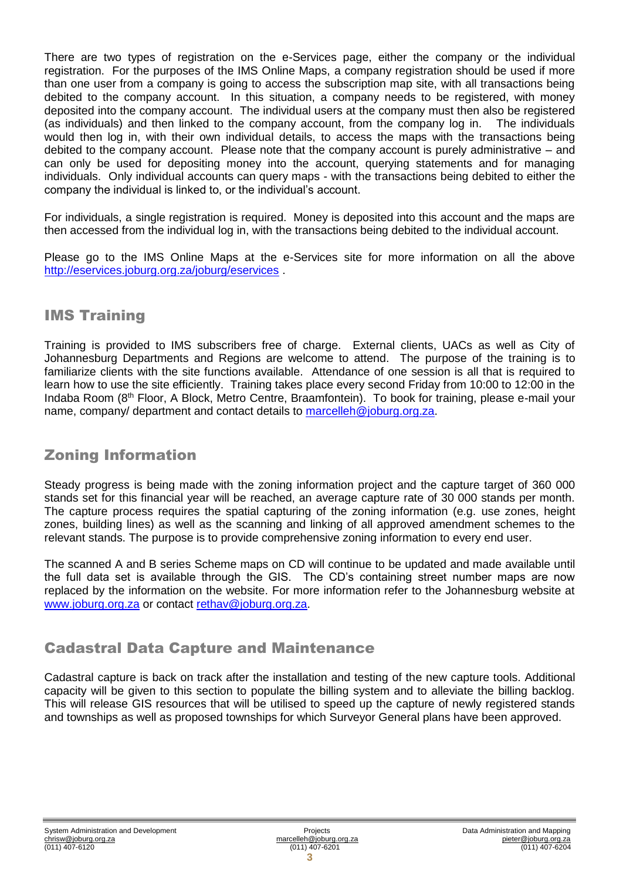There are two types of registration on the e-Services page, either the company or the individual registration. For the purposes of the IMS Online Maps, a company registration should be used if more than one user from a company is going to access the subscription map site, with all transactions being debited to the company account. In this situation, a company needs to be registered, with money deposited into the company account. The individual users at the company must then also be registered (as individuals) and then linked to the company account, from the company log in. The individuals would then log in, with their own individual details, to access the maps with the transactions being debited to the company account. Please note that the company account is purely administrative – and can only be used for depositing money into the account, querying statements and for managing individuals. Only individual accounts can query maps - with the transactions being debited to either the company the individual is linked to, or the individual's account.

For individuals, a single registration is required. Money is deposited into this account and the maps are then accessed from the individual log in, with the transactions being debited to the individual account.

Please go to the IMS Online Maps at the e-Services site for more information on all the above <http://eservices.joburg.org.za/joburg/eservices> .

#### IMS Training

Training is provided to IMS subscribers free of charge. External clients, UACs as well as City of Johannesburg Departments and Regions are welcome to attend. The purpose of the training is to familiarize clients with the site functions available. Attendance of one session is all that is required to learn how to use the site efficiently. Training takes place every second Friday from 10:00 to 12:00 in the Indaba Room (8th Floor, A Block, Metro Centre, Braamfontein). To book for training, please e-mail your name, company/ department and contact details to [marcelleh@joburg.org.za.](mailto:marcelleh@joburg.org.za)

#### Zoning Information

Steady progress is being made with the zoning information project and the capture target of 360 000 stands set for this financial year will be reached, an average capture rate of 30 000 stands per month. The capture process requires the spatial capturing of the zoning information (e.g. use zones, height zones, building lines) as well as the scanning and linking of all approved amendment schemes to the relevant stands. The purpose is to provide comprehensive zoning information to every end user.

The scanned A and B series Scheme maps on CD will continue to be updated and made available until the full data set is available through the GIS. The CD's containing street number maps are now replaced by the information on the website. For more information refer to the Johannesburg website at [www.joburg.org.za](http://www.joburg.org.za/) or contact [rethav@joburg.org.za.](mailto:rethav@joburg.org.za)

#### Cadastral Data Capture and Maintenance

Cadastral capture is back on track after the installation and testing of the new capture tools. Additional capacity will be given to this section to populate the billing system and to alleviate the billing backlog. This will release GIS resources that will be utilised to speed up the capture of newly registered stands and townships as well as proposed townships for which Surveyor General plans have been approved.